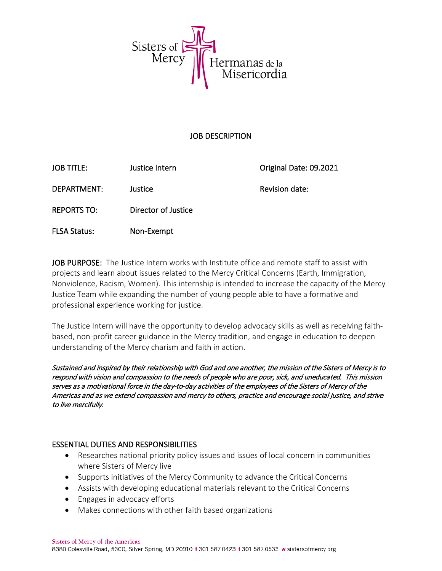

#### JOB DESCRIPTION

| <b>JOB TITLE:</b>   | Justice Intern      | Original Date: 09.2021 |
|---------------------|---------------------|------------------------|
| DEPARTMENT:         | Justice             | Revision date:         |
| <b>REPORTS TO:</b>  | Director of Justice |                        |
| <b>FLSA Status:</b> | Non-Exempt          |                        |

JOB PURPOSE: The Justice Intern works with Institute office and remote staff to assist with projects and learn about issues related to the Mercy Critical Concerns (Earth, Immigration, Nonviolence, Racism, Women). This internship is intended to increase the capacity of the Mercy Justice Team while expanding the number of young people able to have a formative and professional experience working for justice.

The Justice Intern will have the opportunity to develop advocacy skills as well as receiving faithbased, non-profit career guidance in the Mercy tradition, and engage in education to deepen understanding of the Mercy charism and faith in action.

Sustained and inspired by their relationship with God and one another, the mission of the Sisters of Mercy is to respond with vision and compassion to the needs of people who are poor, sick, and uneducated. This mission serves as a motivational force in the day-to-day activities of the employees of the Sisters of Mercy of the Americas and as we extend compassion and mercy to others, practice and encourage social justice, and strive to live mercifully.

### ESSENTIAL DUTIES AND RESPONSIBILITIES

- Researches national priority policy issues and issues of local concern in communities where Sisters of Mercy live
- Supports initiatives of the Mercy Community to advance the Critical Concerns
- Assists with developing educational materials relevant to the Critical Concerns
- Engages in advocacy efforts
- Makes connections with other faith based organizations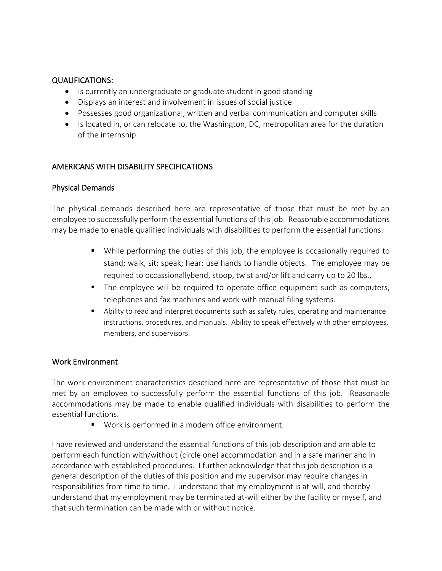## QUALIFICATIONS:

- Is currently an undergraduate or graduate student in good standing
- Displays an interest and involvement in issues of social justice
- Possesses good organizational, written and verbal communication and computer skills
- Is located in, or can relocate to, the Washington, DC, metropolitan area for the duration of the internship

# AMERICANS WITH DISABILITY SPECIFICATIONS

### Physical Demands

The physical demands described here are representative of those that must be met by an employee to successfully perform the essential functions of this job. Reasonable accommodations may be made to enable qualified individuals with disabilities to perform the essential functions.

- While performing the duties of this job, the employee is occasionally required to stand; walk, sit; speak; hear; use hands to handle objects. The employee may be required to occassionallybend, stoop, twist and/or lift and carry up to 20 lbs.,
- The employee will be required to operate office equipment such as computers, telephones and fax machines and work with manual filing systems.
- Ability to read and interpret documents such as safety rules, operating and maintenance instructions, procedures, and manuals. Ability to speak effectively with other employees, members, and supervisors.

### Work Environment

The work environment characteristics described here are representative of those that must be met by an employee to successfully perform the essential functions of this job. Reasonable accommodations may be made to enable qualified individuals with disabilities to perform the essential functions.

■ Work is performed in a modern office environment.

I have reviewed and understand the essential functions of this job description and am able to perform each function with/without (circle one) accommodation and in a safe manner and in accordance with established procedures. I further acknowledge that this job description is a general description of the duties of this position and my supervisor may require changes in responsibilities from time to time. I understand that my employment is at-will, and thereby understand that my employment may be terminated at-will either by the facility or myself, and that such termination can be made with or without notice.